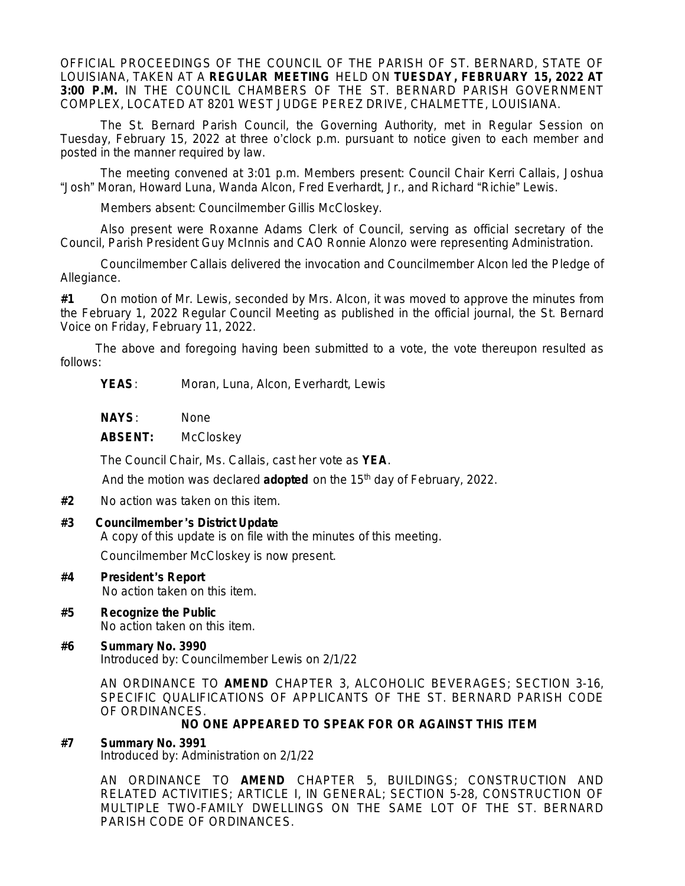OFFICIAL PROCEEDINGS OF THE COUNCIL OF THE PARISH OF ST. BERNARD, STATE OF LOUISIANA, TAKEN AT A **REGULAR MEETING** HELD ON **TUESDAY, FEBRUARY 15, 2022 AT 3:00 P.M.** IN THE COUNCIL CHAMBERS OF THE ST. BERNARD PARISH GOVERNMENT COMPLEX, LOCATED AT 8201 WEST JUDGE PEREZ DRIVE, CHALMETTE, LOUISIANA.

The St. Bernard Parish Council, the Governing Authority, met in Regular Session on Tuesday, February 15, 2022 at three o'clock p.m. pursuant to notice given to each member and posted in the manner required by law.

The meeting convened at 3:01 p.m. Members present: Council Chair Kerri Callais, Joshua "Josh" Moran, Howard Luna, Wanda Alcon, Fred Everhardt, Jr., and Richard "Richie" Lewis.

Members absent: Councilmember Gillis McCloskey.

Also present were Roxanne Adams Clerk of Council, serving as official secretary of the Council, Parish President Guy McInnis and CAO Ronnie Alonzo were representing Administration.

Councilmember Callais delivered the invocation and Councilmember Alcon led the Pledge of Allegiance.

**#1** On motion of Mr. Lewis, seconded by Mrs. Alcon, it was moved to approve the minutes from the February 1, 2022 Regular Council Meeting as published in the official journal, the St. Bernard Voice on Friday, February 11, 2022.

The above and foregoing having been submitted to a vote, the vote thereupon resulted as follows:

**YEAS**: Moran, Luna, Alcon, Everhardt, Lewis

**NAYS**: None

**ABSENT:** McCloskey

The Council Chair, Ms. Callais, cast her vote as **YEA**.

And the motion was declared **adopted** on the 15<sup>th</sup> day of February, 2022.

**#2** No action was taken on this item.

### **#3 Councilmember** '**s District Update**

A copy of this update is on file with the minutes of this meeting.

Councilmember McCloskey is now present.

- **#4 President** '**s Report** No action taken on this item.
- **#5 Recognize the Public** No action taken on this item.
- **#6 Summary No. 3990** Introduced by: Councilmember Lewis on 2/1/22

AN ORDINANCE TO **AMEND** CHAPTER 3, ALCOHOLIC BEVERAGES; SECTION 3-16, SPECIFIC QUALIFICATIONS OF APPLICANTS OF THE ST. BERNARD PARISH CODE OF ORDINANCES.

### **NO ONE APPEARED TO SPEAK FOR OR AGAINST THIS ITEM**

### **#7 Summary No. 3991**

Introduced by: Administration on 2/1/22

AN ORDINANCE TO **AMEND** CHAPTER 5, BUILDINGS; CONSTRUCTION AND RELATED ACTIVITIES; ARTICLE I, IN GENERAL; SECTION 5-28, CONSTRUCTION OF MULTIPLE TWO-FAMILY DWELLINGS ON THE SAME LOT OF THE ST. BERNARD PARISH CODE OF ORDINANCES.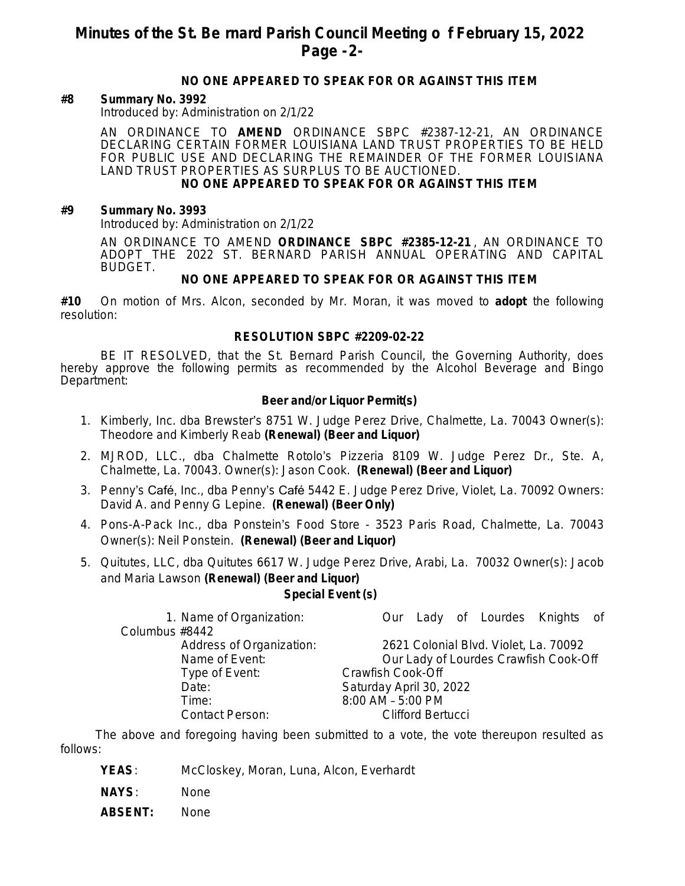# **Minutes of the St. Be rnard Parish Council Meeting o f February 15, 2022 Page -2-**

## **NO ONE APPEARED TO SPEAK FOR OR AGAINST THIS ITEM**

#### **#8 Summary No. 3992**

Introduced by: Administration on 2/1/22

AN ORDINANCE TO **AMEND** ORDINANCE SBPC #2387-12-21, AN ORDINANCE DECLARING CERTAIN FORMER LOUISIANA LAND TRUST PROPERTIES TO BE HELD FOR PUBLIC USE AND DECLARING THE REMAINDER OF THE FORMER LOUISIANA LAND TRUST PROPERTIES AS SURPLUS TO BE AUCTIONED.

## **NO ONE APPEARED TO SPEAK FOR OR AGAINST THIS ITEM**

#### **#9 Summary No. 3993**

Introduced by: Administration on 2/1/22

AN ORDINANCE TO AMEND **ORDINANCE SBPC #2385-12-21** , AN ORDINANCE TO ADOPT THE 2022 ST. BERNARD PARISH ANNUAL OPERATING AND CAPITAL BUDGET.

#### **NO ONE APPEARED TO SPEAK FOR OR AGAINST THIS ITEM**

**#10** On motion of Mrs. Alcon, seconded by Mr. Moran, it was moved to **adopt** the following resolution:

#### **RESOLUTION SBPC #2209-02-22**

BE IT RESOLVED, that the St. Bernard Parish Council, the Governing Authority, does hereby approve the following permits as recommended by the Alcohol Beverage and Bingo Department:

#### **Beer and/or Liquor Permit(s)**

- 1. Kimberly, Inc. dba Brewster's 8751 W. Judge Perez Drive, Chalmette, La. 70043 Owner(s): Theodore and Kimberly Reab **(Renewal) (Beer and Liquor)**
- 2. MJROD, LLC., dba Chalmette Rotolo's Pizzeria 8109 W. Judge Perez Dr., Ste. A, Chalmette, La. 70043. Owner(s): Jason Cook. **(Renewal) (Beer and Liquor)**
- 3. Penny's Café, Inc., dba Penny's Café 5442 E. Judge Perez Drive, Violet, La. 70092 Owners: David A. and Penny G Lepine. **(Renewal) (Beer Only)**
- 4. Pons-A-Pack Inc., dba Ponstein's Food Store 3523 Paris Road, Chalmette, La. 70043 Owner(s): Neil Ponstein. **(Renewal) (Beer and Liquor)**
- 5. Quitutes, LLC, dba Quitutes 6617 W. Judge Perez Drive, Arabi, La. 70032 Owner(s): Jacob and Maria Lawson **(Renewal) (Beer and Liquor)**

**Special Event (s)**

|                          | 1. Name of Organization: |                                       |  |  | Our Lady of Lourdes Knights of |  |  |  |
|--------------------------|--------------------------|---------------------------------------|--|--|--------------------------------|--|--|--|
| Columbus #8442           |                          |                                       |  |  |                                |  |  |  |
| Address of Organization: |                          | 2621 Colonial Blvd. Violet, La. 70092 |  |  |                                |  |  |  |
| Name of Event:           |                          | Our Lady of Lourdes Crawfish Cook-Off |  |  |                                |  |  |  |
| Type of Event:           |                          | Crawfish Cook-Off                     |  |  |                                |  |  |  |
| Date:                    |                          | Saturday April 30, 2022               |  |  |                                |  |  |  |
| Time:                    |                          | 8:00 AM - 5:00 PM                     |  |  |                                |  |  |  |
|                          | <b>Contact Person:</b>   | <b>Clifford Bertucci</b>              |  |  |                                |  |  |  |
|                          |                          |                                       |  |  |                                |  |  |  |

The above and foregoing having been submitted to a vote, the vote thereupon resulted as follows:

- **YEAS**: McCloskey, Moran, Luna, Alcon, Everhardt
- **NAYS**: None
- **ABSENT:** None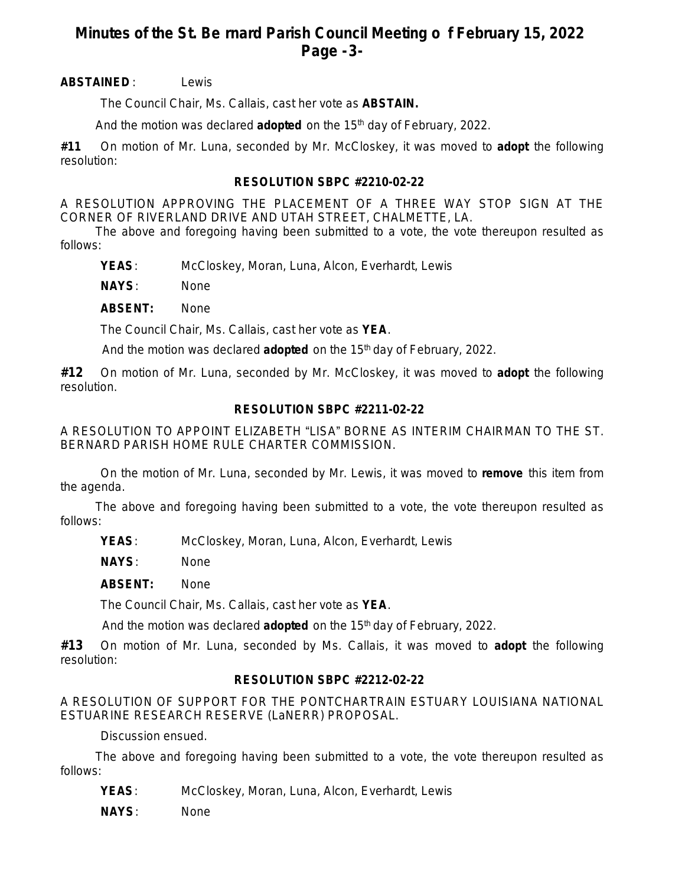# **Minutes of the St. Be rnard Parish Council Meeting o f February 15, 2022 Page -3-**

## **ABSTAINED** : Lewis

The Council Chair, Ms. Callais, cast her vote as **ABSTAIN.**

And the motion was declared **adopted** on the 15th day of February, 2022.

**#11** On motion of Mr. Luna, seconded by Mr. McCloskey, it was moved to **adopt** the following resolution:

## **RESOLUTION SBPC #2210-02-22**

A RESOLUTION APPROVING THE PLACEMENT OF A THREE WAY STOP SIGN AT THE CORNER OF RIVERLAND DRIVE AND UTAH STREET, CHALMETTE, LA.

The above and foregoing having been submitted to a vote, the vote thereupon resulted as follows:

**YEAS**: McCloskey, Moran, Luna, Alcon, Everhardt, Lewis

**NAYS**: None

**ABSENT:** None

The Council Chair, Ms. Callais, cast her vote as **YEA**.

And the motion was declared **adopted** on the 15<sup>th</sup> day of February, 2022.

**#12** On motion of Mr. Luna, seconded by Mr. McCloskey, it was moved to **adopt** the following resolution.

## **RESOLUTION SBPC #2211-02-22**

A RESOLUTION TO APPOINT ELIZABETH "LISA" BORNE AS INTERIM CHAIRMAN TO THE ST. BERNARD PARISH HOME RULE CHARTER COMMISSION.

On the motion of Mr. Luna, seconded by Mr. Lewis, it was moved to **remove** this item from the agenda.

The above and foregoing having been submitted to a vote, the vote thereupon resulted as follows:

**YEAS**: McCloskey, Moran, Luna, Alcon, Everhardt, Lewis

**NAYS**: None

**ABSENT:** None

The Council Chair, Ms. Callais, cast her vote as **YEA**.

And the motion was declared **adopted** on the 15<sup>th</sup> day of February, 2022.

**#13** On motion of Mr. Luna, seconded by Ms. Callais, it was moved to **adopt** the following resolution:

## **RESOLUTION SBPC #2212-02-22**

A RESOLUTION OF SUPPORT FOR THE PONTCHARTRAIN ESTUARY LOUISIANA NATIONAL ESTUARINE RESEARCH RESERVE (LaNERR) PROPOSAL.

Discussion ensued.

The above and foregoing having been submitted to a vote, the vote thereupon resulted as follows:

**YEAS**: McCloskey, Moran, Luna, Alcon, Everhardt, Lewis

**NAYS**: None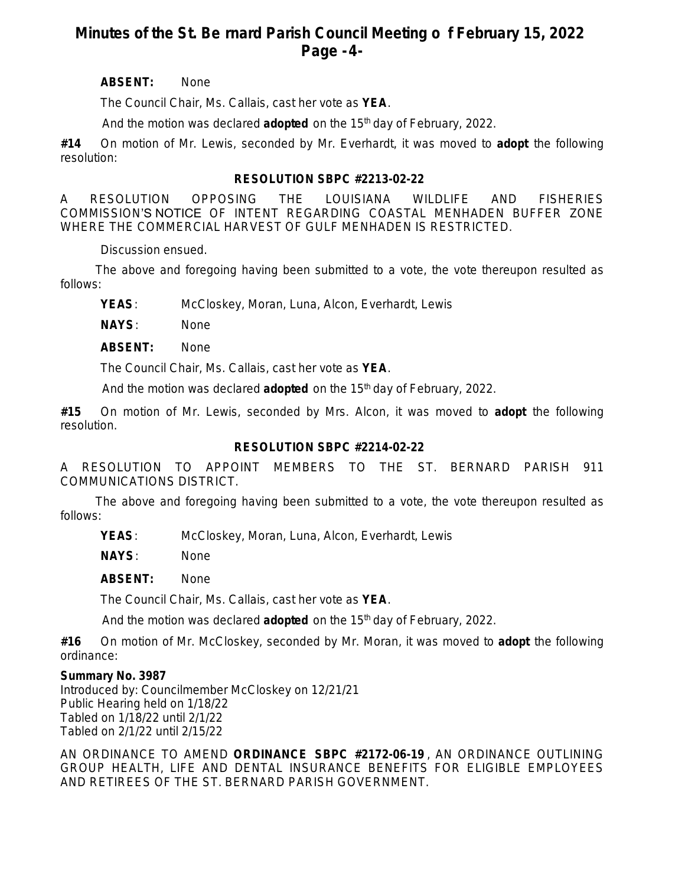# **Minutes of the St. Be rnard Parish Council Meeting o f February 15, 2022 Page -4-**

## **ABSENT:** None

The Council Chair, Ms. Callais, cast her vote as **YEA**.

And the motion was declared **adopted** on the 15<sup>th</sup> day of February, 2022.

**#14** On motion of Mr. Lewis, seconded by Mr. Everhardt, it was moved to **adopt** the following resolution:

## **RESOLUTION SBPC #2213-02-22**

A RESOLUTION OPPOSING THE LOUISIANA WILDLIFE AND FISHERIES COMMISSION'S NOTICE OF INTENT REGARDING COASTAL MENHADEN BUFFER ZONE WHERE THE COMMERCIAL HARVEST OF GULF MENHADEN IS RESTRICTED.

Discussion ensued.

The above and foregoing having been submitted to a vote, the vote thereupon resulted as follows:

**YEAS**: McCloskey, Moran, Luna, Alcon, Everhardt, Lewis

**NAYS**: None

**ABSENT:** None

The Council Chair, Ms. Callais, cast her vote as **YEA**.

And the motion was declared **adopted** on the 15<sup>th</sup> day of February, 2022.

**#15** On motion of Mr. Lewis, seconded by Mrs. Alcon, it was moved to **adopt** the following resolution.

## **RESOLUTION SBPC #2214-02-22**

A RESOLUTION TO APPOINT MEMBERS TO THE ST. BERNARD PARISH 911 COMMUNICATIONS DISTRICT.

The above and foregoing having been submitted to a vote, the vote thereupon resulted as follows:

**YEAS**: McCloskey, Moran, Luna, Alcon, Everhardt, Lewis

**NAYS**: None

**ABSENT:** None

The Council Chair, Ms. Callais, cast her vote as **YEA**.

And the motion was declared **adopted** on the 15th day of February, 2022.

**#16** On motion of Mr. McCloskey, seconded by Mr. Moran, it was moved to **adopt** the following ordinance:

## **Summary No. 3987**

Introduced by: Councilmember McCloskey on 12/21/21 Public Hearing held on 1/18/22 Tabled on 1/18/22 until 2/1/22 Tabled on 2/1/22 until 2/15/22

AN ORDINANCE TO AMEND **ORDINANCE SBPC #2172-06-19** , AN ORDINANCE OUTLINING GROUP HEALTH, LIFE AND DENTAL INSURANCE BENEFITS FOR ELIGIBLE EMPLOYEES AND RETIREES OF THE ST. BERNARD PARISH GOVERNMENT.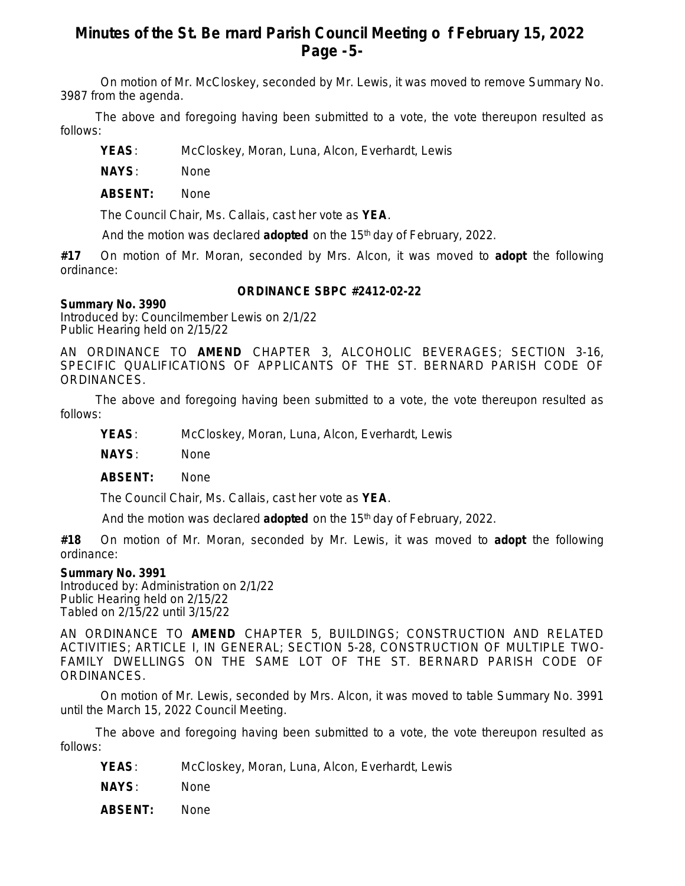# **Minutes of the St. Be rnard Parish Council Meeting o f February 15, 2022 Page -5-**

On motion of Mr. McCloskey, seconded by Mr. Lewis, it was moved to remove Summary No. 3987 from the agenda.

The above and foregoing having been submitted to a vote, the vote thereupon resulted as follows:

**YEAS**: McCloskey, Moran, Luna, Alcon, Everhardt, Lewis

**NAYS**: None

**ABSENT:** None

The Council Chair, Ms. Callais, cast her vote as **YEA**.

And the motion was declared **adopted** on the 15<sup>th</sup> day of February, 2022.

**#17** On motion of Mr. Moran, seconded by Mrs. Alcon, it was moved to **adopt** the following ordinance:

### **ORDINANCE SBPC #2412-02-22**

### **Summary No. 3990**

Introduced by: Councilmember Lewis on 2/1/22 Public Hearing held on 2/15/22

AN ORDINANCE TO **AMEND** CHAPTER 3, ALCOHOLIC BEVERAGES; SECTION 3-16, SPECIFIC QUALIFICATIONS OF APPLICANTS OF THE ST. BERNARD PARISH CODE OF ORDINANCES.

The above and foregoing having been submitted to a vote, the vote thereupon resulted as follows:

**YEAS**: McCloskey, Moran, Luna, Alcon, Everhardt, Lewis

**NAYS**: None

**ABSENT:** None

The Council Chair, Ms. Callais, cast her vote as **YEA**.

And the motion was declared **adopted** on the 15<sup>th</sup> day of February, 2022.

**#18** On motion of Mr. Moran, seconded by Mr. Lewis, it was moved to **adopt** the following ordinance:

### **Summary No. 3991**

Introduced by: Administration on 2/1/22 Public Hearing held on 2/15/22 Tabled on 2/15/22 until 3/15/22

AN ORDINANCE TO **AMEND** CHAPTER 5, BUILDINGS; CONSTRUCTION AND RELATED ACTIVITIES; ARTICLE I, IN GENERAL; SECTION 5-28, CONSTRUCTION OF MULTIPLE TWO-FAMILY DWELLINGS ON THE SAME LOT OF THE ST. BERNARD PARISH CODE OF ORDINANCES.

On motion of Mr. Lewis, seconded by Mrs. Alcon, it was moved to table Summary No. 3991 until the March 15, 2022 Council Meeting.

The above and foregoing having been submitted to a vote, the vote thereupon resulted as follows:

**YEAS**: McCloskey, Moran, Luna, Alcon, Everhardt, Lewis

**NAYS**: None

**ABSENT:** None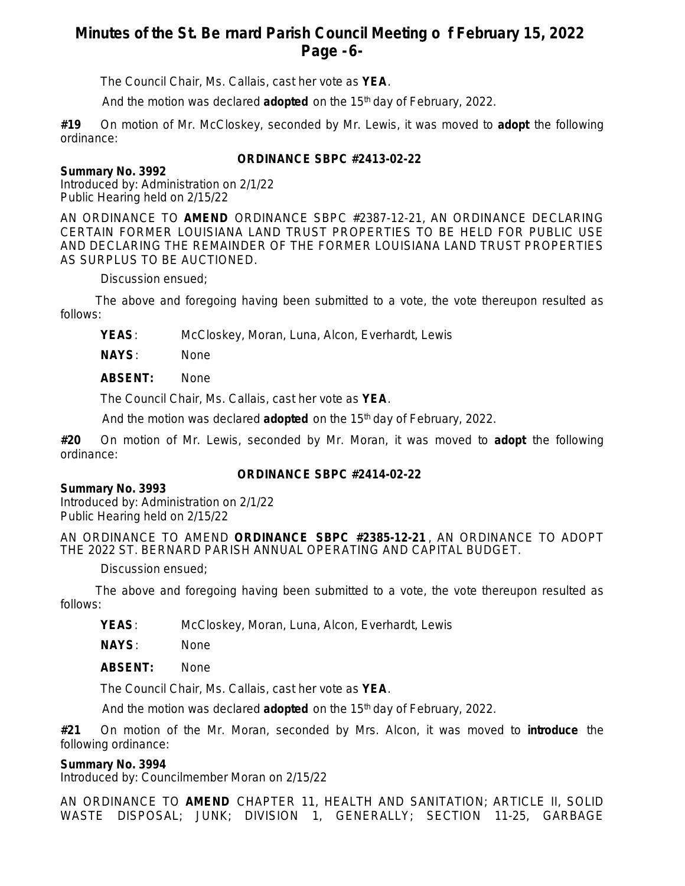# **Minutes of the St. Be rnard Parish Council Meeting o f February 15, 2022 Page -6-**

The Council Chair, Ms. Callais, cast her vote as **YEA**.

And the motion was declared **adopted** on the 15<sup>th</sup> day of February, 2022.

**#19** On motion of Mr. McCloskey, seconded by Mr. Lewis, it was moved to **adopt** the following ordinance:

## **ORDINANCE SBPC #2413-02-22**

## **Summary No. 3992**

Introduced by: Administration on 2/1/22 Public Hearing held on 2/15/22

AN ORDINANCE TO **AMEND** ORDINANCE SBPC #2387-12-21, AN ORDINANCE DECLARING CERTAIN FORMER LOUISIANA LAND TRUST PROPERTIES TO BE HELD FOR PUBLIC USE AND DECLARING THE REMAINDER OF THE FORMER LOUISIANA LAND TRUST PROPERTIES AS SURPLUS TO BE AUCTIONED.

Discussion ensued;

The above and foregoing having been submitted to a vote, the vote thereupon resulted as follows:

**YEAS**: McCloskey, Moran, Luna, Alcon, Everhardt, Lewis

**NAYS**: None

**ABSENT:** None

The Council Chair, Ms. Callais, cast her vote as **YEA**.

And the motion was declared **adopted** on the 15<sup>th</sup> day of February, 2022.

**#20** On motion of Mr. Lewis, seconded by Mr. Moran, it was moved to **adopt** the following ordinance:

## **ORDINANCE SBPC #2414-02-22**

## **Summary No. 3993**

Introduced by: Administration on 2/1/22 Public Hearing held on 2/15/22

AN ORDINANCE TO AMEND **ORDINANCE SBPC #2385-12-21** , AN ORDINANCE TO ADOPT THE 2022 ST. BERNARD PARISH ANNUAL OPERATING AND CAPITAL BUDGET.

Discussion ensued;

The above and foregoing having been submitted to a vote, the vote thereupon resulted as follows:

**YEAS**: McCloskey, Moran, Luna, Alcon, Everhardt, Lewis

**NAYS**: None

**ABSENT:** None

The Council Chair, Ms. Callais, cast her vote as **YEA**.

And the motion was declared **adopted** on the 15th day of February, 2022.

**#21** On motion of the Mr. Moran, seconded by Mrs. Alcon, it was moved to **introduce** the following ordinance:

## **Summary No. 3994**

Introduced by: Councilmember Moran on 2/15/22

AN ORDINANCE TO **AMEND** CHAPTER 11, HEALTH AND SANITATION; ARTICLE II, SOLID WASTE DISPOSAL; JUNK; DIVISION 1, GENERALLY; SECTION 11-25, GARBAGE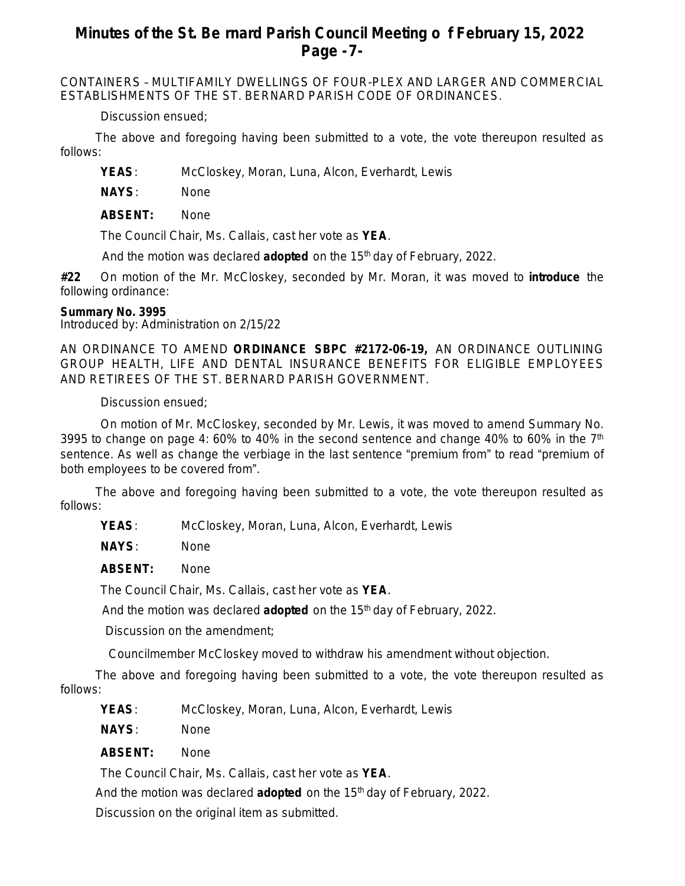# **Minutes of the St. Be rnard Parish Council Meeting o f February 15, 2022 Page -7-**

CONTAINERS – MULTIFAMILY DWELLINGS OF FOUR-PLEX AND LARGER AND COMMERCIAL ESTABLISHMENTS OF THE ST. BERNARD PARISH CODE OF ORDINANCES.

Discussion ensued;

The above and foregoing having been submitted to a vote, the vote thereupon resulted as follows:

**YEAS**: McCloskey, Moran, Luna, Alcon, Everhardt, Lewis

**NAYS**: None

**ABSENT:** None

The Council Chair, Ms. Callais, cast her vote as **YEA**.

And the motion was declared **adopted** on the 15<sup>th</sup> day of February, 2022.

**#22** On motion of the Mr. McCloskey, seconded by Mr. Moran, it was moved to **introduce** the following ordinance:

## **Summary No. 3995**

Introduced by: Administration on 2/15/22

AN ORDINANCE TO AMEND **ORDINANCE SBPC #2172-06-19,** AN ORDINANCE OUTLINING GROUP HEALTH, LIFE AND DENTAL INSURANCE BENEFITS FOR ELIGIBLE EMPLOYEES AND RETIREES OF THE ST. BERNARD PARISH GOVERNMENT.

Discussion ensued;

On motion of Mr. McCloskey, seconded by Mr. Lewis, it was moved to amend Summary No. 3995 to change on page 4: 60% to 40% in the second sentence and change 40% to 60% in the  $7<sup>th</sup>$ sentence. As well as change the verbiage in the last sentence "premium from" to read "premium of both employees to be covered from".

The above and foregoing having been submitted to a vote, the vote thereupon resulted as follows:

**YEAS**: McCloskey, Moran, Luna, Alcon, Everhardt, Lewis

**NAYS**: None

**ABSENT:** None

The Council Chair, Ms. Callais, cast her vote as **YEA**.

And the motion was declared **adopted** on the 15<sup>th</sup> day of February, 2022.

Discussion on the amendment;

Councilmember McCloskey moved to withdraw his amendment without objection.

The above and foregoing having been submitted to a vote, the vote thereupon resulted as follows:

**YEAS**: McCloskey, Moran, Luna, Alcon, Everhardt, Lewis

**NAYS**: None

**ABSENT:** None

The Council Chair, Ms. Callais, cast her vote as **YEA**.

And the motion was declared **adopted** on the 15<sup>th</sup> day of February, 2022.

Discussion on the original item as submitted.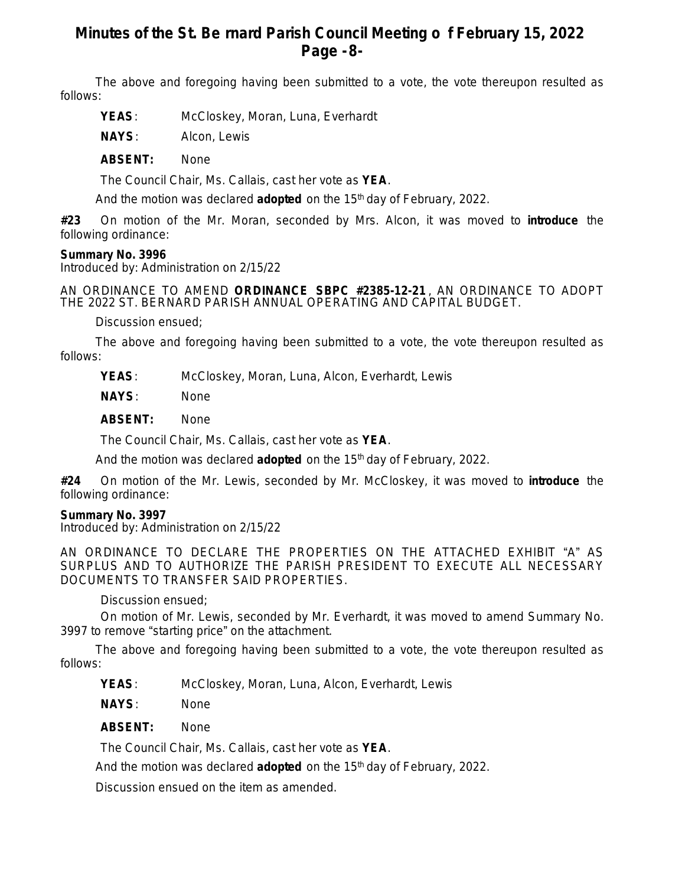# **Minutes of the St. Be rnard Parish Council Meeting o f February 15, 2022 Page -8-**

The above and foregoing having been submitted to a vote, the vote thereupon resulted as follows:

- **YEAS**: McCloskey, Moran, Luna, Everhardt
- **NAYS**: Alcon, Lewis

**ABSENT:** None

The Council Chair, Ms. Callais, cast her vote as **YEA**.

And the motion was declared **adopted** on the 15<sup>th</sup> day of February, 2022.

**#23** On motion of the Mr. Moran, seconded by Mrs. Alcon, it was moved to **introduce** the following ordinance:

### **Summary No. 3996**

Introduced by: Administration on 2/15/22

AN ORDINANCE TO AMEND **ORDINANCE SBPC #2385-12-21** , AN ORDINANCE TO ADOPT THE 2022 ST. BERNARD PARISH ANNUAL OPERATING AND CAPITAL BUDGET.

Discussion ensued;

The above and foregoing having been submitted to a vote, the vote thereupon resulted as follows:

**YEAS**: McCloskey, Moran, Luna, Alcon, Everhardt, Lewis

**NAYS**: None

**ABSENT:** None

The Council Chair, Ms. Callais, cast her vote as **YEA**.

And the motion was declared **adopted** on the 15<sup>th</sup> day of February, 2022.

**#24** On motion of the Mr. Lewis, seconded by Mr. McCloskey, it was moved to **introduce** the following ordinance:

## **Summary No. 3997**

Introduced by: Administration on 2/15/22

AN ORDINANCE TO DECLARE THE PROPERTIES ON THE ATTACHED EXHIBIT "A" AS SURPLUS AND TO AUTHORIZE THE PARISH PRESIDENT TO EXECUTE ALL NECESSARY DOCUMENTS TO TRANSFER SAID PROPERTIES.

Discussion ensued;

On motion of Mr. Lewis, seconded by Mr. Everhardt, it was moved to amend Summary No. 3997 to remove "starting price" on the attachment.

The above and foregoing having been submitted to a vote, the vote thereupon resulted as follows:

**YEAS**: McCloskey, Moran, Luna, Alcon, Everhardt, Lewis

**NAYS**: None

**ABSENT:** None

The Council Chair, Ms. Callais, cast her vote as **YEA**.

And the motion was declared **adopted** on the 15th day of February, 2022.

Discussion ensued on the item as amended.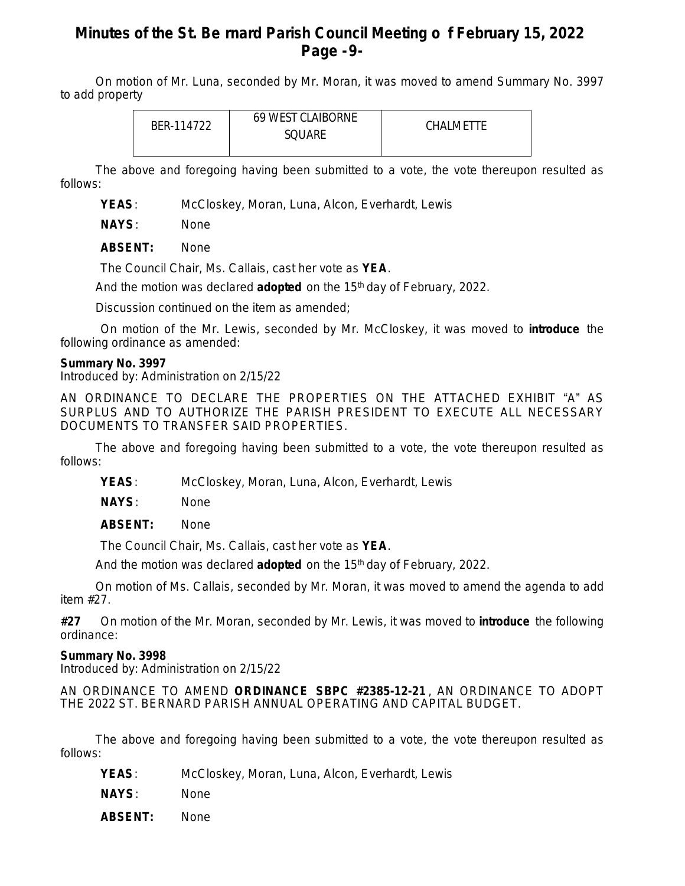# **Minutes of the St. Be rnard Parish Council Meeting o f February 15, 2022 Page -9-**

On motion of Mr. Luna, seconded by Mr. Moran, it was moved to amend Summary No. 3997 to add property

| BFR-114722 | <b>69 WEST CLAIBORNE</b><br>SQUARE | CHALMETTE |
|------------|------------------------------------|-----------|
|            |                                    |           |

The above and foregoing having been submitted to a vote, the vote thereupon resulted as follows:

**YEAS**: McCloskey, Moran, Luna, Alcon, Everhardt, Lewis

**NAYS**: None

**ABSENT:** None

The Council Chair, Ms. Callais, cast her vote as **YEA**.

And the motion was declared **adopted** on the 15<sup>th</sup> day of February, 2022.

Discussion continued on the item as amended;

On motion of the Mr. Lewis, seconded by Mr. McCloskey, it was moved to **introduce** the following ordinance as amended:

### **Summary No. 3997**

Introduced by: Administration on 2/15/22

AN ORDINANCE TO DECLARE THE PROPERTIES ON THE ATTACHED EXHIBIT "A" AS SURPLUS AND TO AUTHORIZE THE PARISH PRESIDENT TO EXECUTE ALL NECESSARY DOCUMENTS TO TRANSFER SAID PROPERTIES.

The above and foregoing having been submitted to a vote, the vote thereupon resulted as follows:

**YEAS**: McCloskey, Moran, Luna, Alcon, Everhardt, Lewis

**NAYS**: None

**ABSENT:** None

The Council Chair, Ms. Callais, cast her vote as **YEA**.

And the motion was declared **adopted** on the 15<sup>th</sup> day of February, 2022.

On motion of Ms. Callais, seconded by Mr. Moran, it was moved to amend the agenda to add item #27.

**#27** On motion of the Mr. Moran, seconded by Mr. Lewis, it was moved to **introduce** the following ordinance:

### **Summary No. 3998**

Introduced by: Administration on 2/15/22

AN ORDINANCE TO AMEND **ORDINANCE SBPC #2385-12-21** , AN ORDINANCE TO ADOPT THE 2022 ST. BERNARD PARISH ANNUAL OPERATING AND CAPITAL BUDGET.

The above and foregoing having been submitted to a vote, the vote thereupon resulted as follows:

- **YEAS**: McCloskey, Moran, Luna, Alcon, Everhardt, Lewis
- **NAYS**: None
- **ABSENT:** None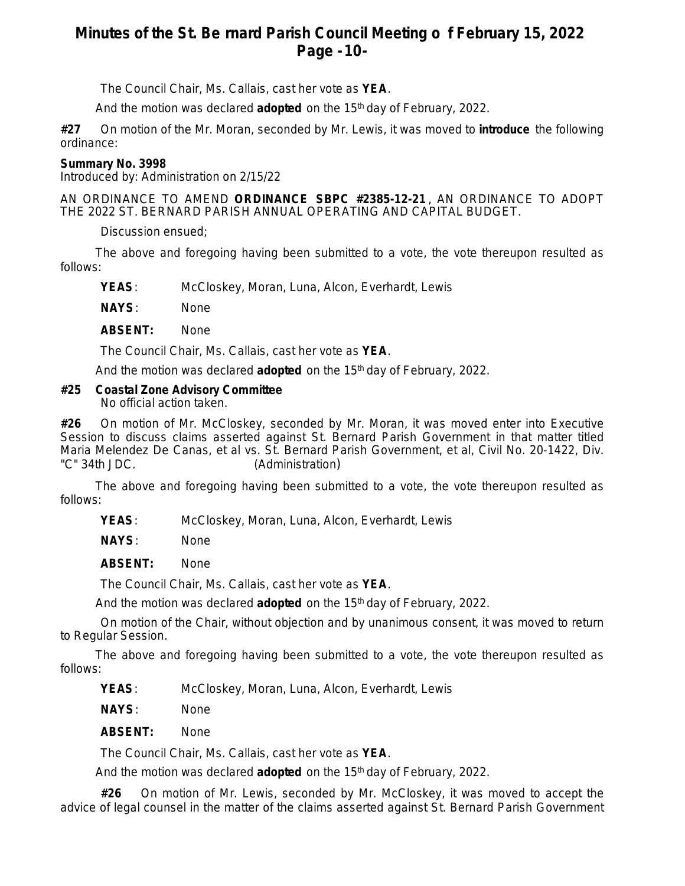# **Minutes of the St. Be rnard Parish Council Meeting o f February 15, 2022 Page -10-**

The Council Chair, Ms. Callais, cast her vote as **YEA**.

And the motion was declared **adopted** on the 15th day of February, 2022.

**#27** On motion of the Mr. Moran, seconded by Mr. Lewis, it was moved to **introduce** the following ordinance:

## **Summary No. 3998**

Introduced by: Administration on 2/15/22

AN ORDINANCE TO AMEND **ORDINANCE SBPC #2385-12-21** , AN ORDINANCE TO ADOPT THE 2022 ST. BERNARD PARISH ANNUAL OPERATING AND CAPITAL BUDGET.

Discussion ensued;

The above and foregoing having been submitted to a vote, the vote thereupon resulted as follows:

**YEAS**: McCloskey, Moran, Luna, Alcon, Everhardt, Lewis

**NAYS**: None

**ABSENT:** None

The Council Chair, Ms. Callais, cast her vote as **YEA**.

And the motion was declared **adopted** on the 15<sup>th</sup> day of February, 2022.

## **#25 Coastal Zone Advisory Committee**

No official action taken.

**#26** On motion of Mr. McCloskey, seconded by Mr. Moran, it was moved enter into Executive Session to discuss claims asserted against St. Bernard Parish Government in that matter titled Maria Melendez De Canas, et al vs. St. Bernard Parish Government, et al, Civil No. 20-1422, Div. "C" 34th JDC. (Administration)

The above and foregoing having been submitted to a vote, the vote thereupon resulted as follows:

**YEAS**: McCloskey, Moran, Luna, Alcon, Everhardt, Lewis

**NAYS**: None

**ABSENT:** None

The Council Chair, Ms. Callais, cast her vote as **YEA**.

And the motion was declared **adopted** on the 15<sup>th</sup> day of February, 2022.

On motion of the Chair, without objection and by unanimous consent, it was moved to return to Regular Session.

The above and foregoing having been submitted to a vote, the vote thereupon resulted as follows:

**YEAS**: McCloskey, Moran, Luna, Alcon, Everhardt, Lewis

**NAYS**: None

**ABSENT:** None

The Council Chair, Ms. Callais, cast her vote as **YEA**.

And the motion was declared **adopted** on the 15<sup>th</sup> day of February, 2022.

**#26** On motion of Mr. Lewis, seconded by Mr. McCloskey, it was moved to accept the advice of legal counsel in the matter of the claims asserted against St. Bernard Parish Government